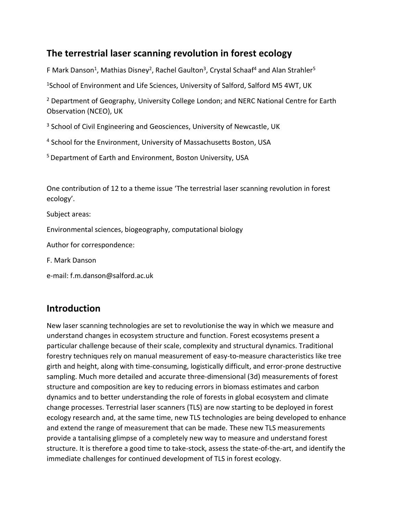## **The terrestrial laser scanning revolution in forest ecology**

F Mark Danson<sup>1</sup>, Mathias Disney<sup>2</sup>, Rachel Gaulton<sup>3</sup>, Crystal Schaaf<sup>4</sup> and Alan Strahler<sup>5</sup>

<sup>1</sup>School of Environment and Life Sciences, University of Salford, Salford M5 4WT, UK

<sup>2</sup> Department of Geography, University College London; and NERC National Centre for Earth Observation (NCEO), UK

<sup>3</sup> School of Civil Engineering and Geosciences, University of Newcastle, UK

<sup>4</sup> School for the Environment, University of Massachusetts Boston, USA

<sup>5</sup> Department of Earth and Environment, Boston University, USA

One contribution of 12 to a theme issue 'The terrestrial laser scanning revolution in forest ecology'.

Subject areas:

Environmental sciences, biogeography, computational biology

Author for correspondence:

F. Mark Danson

e-mail: f.m.danson@salford.ac.uk

## **Introduction**

New laser scanning technologies are set to revolutionise the way in which we measure and understand changes in ecosystem structure and function. Forest ecosystems present a particular challenge because of their scale, complexity and structural dynamics. Traditional forestry techniques rely on manual measurement of easy-to-measure characteristics like tree girth and height, along with time-consuming, logistically difficult, and error-prone destructive sampling. Much more detailed and accurate three-dimensional (3d) measurements of forest structure and composition are key to reducing errors in biomass estimates and carbon dynamics and to better understanding the role of forests in global ecosystem and climate change processes. Terrestrial laser scanners (TLS) are now starting to be deployed in forest ecology research and, at the same time, new TLS technologies are being developed to enhance and extend the range of measurement that can be made. These new TLS measurements provide a tantalising glimpse of a completely new way to measure and understand forest structure. It is therefore a good time to take-stock, assess the state-of-the-art, and identify the immediate challenges for continued development of TLS in forest ecology.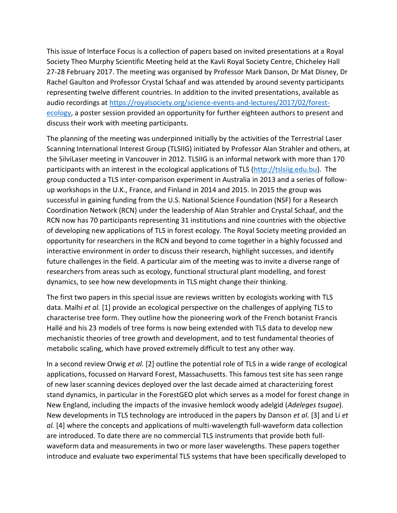This issue of Interface Focus is a collection of papers based on invited presentations at a Royal Society Theo Murphy Scientific Meeting held at the Kavli Royal Society Centre, Chicheley Hall 27-28 February 2017. The meeting was organised by Professor Mark Danson, Dr Mat Disney, Dr Rachel Gaulton and Professor Crystal Schaaf and was attended by around seventy participants representing twelve different countries. In addition to the invited presentations, available as audio recordings at [https://royalsociety.org/science-events-and-lectures/2017/02/forest](https://royalsociety.org/science-events-and-lectures/2017/02/forest-ecology)[ecology,](https://royalsociety.org/science-events-and-lectures/2017/02/forest-ecology) a poster session provided an opportunity for further eighteen authors to present and discuss their work with meeting participants.

The planning of the meeting was underpinned initially by the activities of the Terrestrial Laser Scanning International Interest Group (TLSIIG) initiated by Professor Alan Strahler and others, at the SilviLaser meeting in Vancouver in 2012. TLSIIG is an informal network with more than 170 participants with an interest in the ecological applications of TLS [\(http://tslsiig.edu.bu\)](http://tslsiig.edu.bu/). The group conducted a TLS inter-comparison experiment in Australia in 2013 and a series of followup workshops in the U.K., France, and Finland in 2014 and 2015. In 2015 the group was successful in gaining funding from the U.S. National Science Foundation (NSF) for a Research Coordination Network (RCN) under the leadership of Alan Strahler and Crystal Schaaf, and the RCN now has 70 participants representing 31 institutions and nine countries with the objective of developing new applications of TLS in forest ecology. The Royal Society meeting provided an opportunity for researchers in the RCN and beyond to come together in a highly focussed and interactive environment in order to discuss their research, highlight successes, and identify future challenges in the field. A particular aim of the meeting was to invite a diverse range of researchers from areas such as ecology, functional structural plant modelling, and forest dynamics, to see how new developments in TLS might change their thinking.

The first two papers in this special issue are reviews written by ecologists working with TLS data. Malhi *et al.* [1] provide an ecological perspective on the challenges of applying TLS to characterise tree form. They outline how the pioneering work of the French botanist Francis Hallé and his 23 models of tree forms is now being extended with TLS data to develop new mechanistic theories of tree growth and development, and to test fundamental theories of metabolic scaling, which have proved extremely difficult to test any other way.

In a second review Orwig *et al.* [2] outline the potential role of TLS in a wide range of ecological applications, focussed on Harvard Forest, Massachusetts. This famous test site has seen range of new laser scanning devices deployed over the last decade aimed at characterizing forest stand dynamics, in particular in the ForestGEO plot which serves as a model for forest change in New England, including the impacts of the invasive hemlock woody adelgid (*Adeleges tsugae*). New developments in TLS technology are introduced in the papers by Danson *et al.* [3] and Li *et al.* [4] where the concepts and applications of multi-wavelength full-waveform data collection are introduced. To date there are no commercial TLS instruments that provide both fullwaveform data and measurements in two or more laser wavelengths. These papers together introduce and evaluate two experimental TLS systems that have been specifically developed to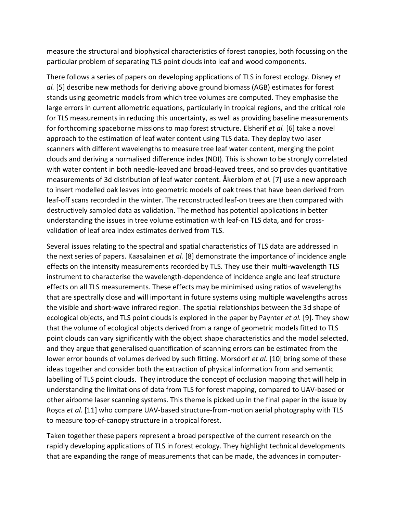measure the structural and biophysical characteristics of forest canopies, both focussing on the particular problem of separating TLS point clouds into leaf and wood components.

There follows a series of papers on developing applications of TLS in forest ecology. Disney *et al.* [5] describe new methods for deriving above ground biomass (AGB) estimates for forest stands using geometric models from which tree volumes are computed. They emphasise the large errors in current allometric equations, particularly in tropical regions, and the critical role for TLS measurements in reducing this uncertainty, as well as providing baseline measurements for forthcoming spaceborne missions to map forest structure. Elsherif *et al.* [6] take a novel approach to the estimation of leaf water content using TLS data. They deploy two laser scanners with different wavelengths to measure tree leaf water content, merging the point clouds and deriving a normalised difference index (NDI). This is shown to be strongly correlated with water content in both needle-leaved and broad-leaved trees, and so provides quantitative measurements of 3d distribution of leaf water content. Åkerblom *et al.* [7] use a new approach to insert modelled oak leaves into geometric models of oak trees that have been derived from leaf-off scans recorded in the winter. The reconstructed leaf-on trees are then compared with destructively sampled data as validation. The method has potential applications in better understanding the issues in tree volume estimation with leaf-on TLS data, and for crossvalidation of leaf area index estimates derived from TLS.

Several issues relating to the spectral and spatial characteristics of TLS data are addressed in the next series of papers. Kaasalainen *et al.* [8] demonstrate the importance of incidence angle effects on the intensity measurements recorded by TLS. They use their multi-wavelength TLS instrument to characterise the wavelength-dependence of incidence angle and leaf structure effects on all TLS measurements. These effects may be minimised using ratios of wavelengths that are spectrally close and will important in future systems using multiple wavelengths across the visible and short-wave infrared region. The spatial relationships between the 3d shape of ecological objects, and TLS point clouds is explored in the paper by Paynter *et al.* [9]. They show that the volume of ecological objects derived from a range of geometric models fitted to TLS point clouds can vary significantly with the object shape characteristics and the model selected, and they argue that generalised quantification of scanning errors can be estimated from the lower error bounds of volumes derived by such fitting. Morsdorf *et al.* [10] bring some of these ideas together and consider both the extraction of physical information from and semantic labelling of TLS point clouds. They introduce the concept of occlusion mapping that will help in understanding the limitations of data from TLS for forest mapping, compared to UAV-based or other airborne laser scanning systems. This theme is picked up in the final paper in the issue by Roşca *et al.* [11] who compare UAV-based structure-from-motion aerial photography with TLS to measure top-of-canopy structure in a tropical forest.

Taken together these papers represent a broad perspective of the current research on the rapidly developing applications of TLS in forest ecology. They highlight technical developments that are expanding the range of measurements that can be made, the advances in computer